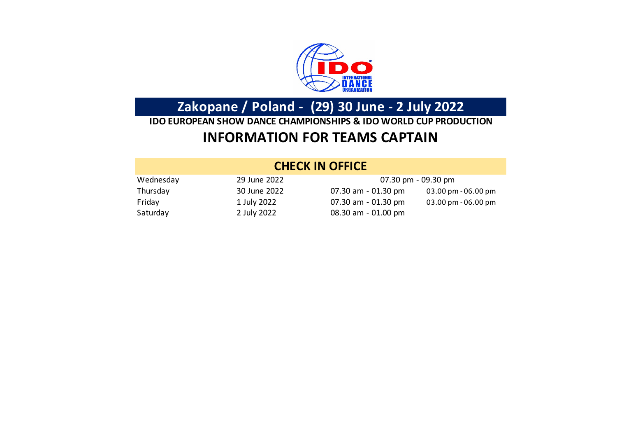

**Zakopane / Poland - (29) 30 June - 2 July 2022**

## **INFORMATION FOR TEAMS CAPTAIN IDO EUROPEAN SHOW DANCE CHAMPIONSHIPS & IDO WORLD CUP PRODUCTION**

### **CHECK IN OFFICE**

| Wednesday | 29 June 2022 |                        | 07.30 pm - 09.30 pm              |
|-----------|--------------|------------------------|----------------------------------|
| Thursday  | 30 June 2022 | 07.30 am - 01.30 pm    | $03.00 \,\mathrm{pm}$ - 06.00 pm |
| Friday    | 1 July 2022  | 07.30 am $-$ 01.30 pm  | $03.00 \,\mathrm{pm}$ - 06.00 pm |
| Saturday  | 2 July 2022  | $08.30$ am $-01.00$ pm |                                  |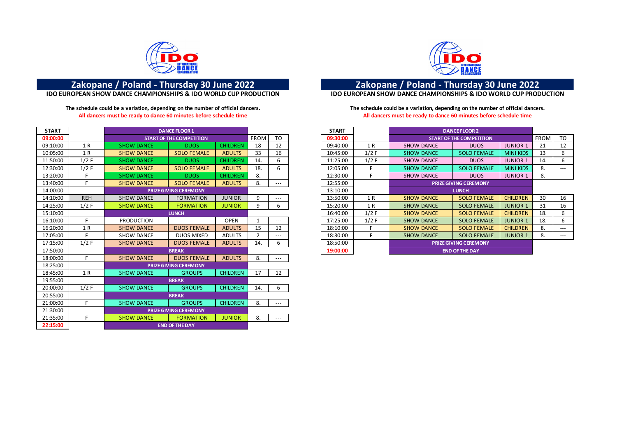

### **The schedule could be a variation, depending on the number of official dancers. The schedule could be a variation, depending on the number of official dancers. All dancers must be ready to dance 60 minutes before schedule time All dancers must be ready to dance 60 minutes before schedule time**

| <b>START</b> |            | <b>DANCE FLOOR 1</b>  |                                 |                 |             |                     | <b>START</b> |                   |                    | <b>DANCE FLOOR 2</b>            |                  |             |                |
|--------------|------------|-----------------------|---------------------------------|-----------------|-------------|---------------------|--------------|-------------------|--------------------|---------------------------------|------------------|-------------|----------------|
| 09:00:00     |            |                       | <b>START OF THE COMPETITION</b> |                 | <b>FROM</b> | TO                  | 09:30:00     |                   |                    | <b>START OF THE COMPETITION</b> |                  | <b>FROM</b> | T <sub>O</sub> |
| 09:10:00     | 1 R        | <b>SHOW DANCE</b>     | <b>DUOS</b>                     | <b>CHILDREN</b> | 18          | 12                  | 09:40:00     | 1 R               | <b>SHOW DANCE</b>  | <b>DUOS</b>                     | <b>JUNIOR 1</b>  | 21          | 12             |
| 10:05:00     | 1 R        | <b>SHOW DANCE</b>     | <b>SOLO FEMALE</b>              | <b>ADULTS</b>   | 33          | 16                  | 10:45:00     | $1/2$ F           | <b>SHOW DANCE</b>  | <b>SOLO FEMALE</b>              | <b>MINI KIDS</b> | 13          |                |
| 11:50:00     | $1/2$ F    | <b>SHOW DANCE</b>     | <b>DUOS</b>                     | <b>CHILDREN</b> | 14.         | 6                   | 11:25:00     | $1/2$ F           | <b>SHOW DANCE</b>  | <b>DUOS</b>                     | <b>JUNIOR 1</b>  | 14.         | 6              |
| 12:30:00     | $1/2$ F    | <b>SHOW DANCE</b>     | <b>SOLO FEMALE</b>              | <b>ADULTS</b>   | 18.         | 6                   | 12:05:00     | Е.                | <b>SHOW DANCE</b>  | <b>SOLO FEMALE</b>              | <b>MINI KIDS</b> | 8.          | $---$          |
| 13:20:00     |            | <b>SHOW DANCE</b>     | <b>DUOS</b>                     | <b>CHILDREN</b> | 8.          | $\qquad \qquad - -$ | 12:30:00     | F.                | <b>SHOW DANCE</b>  | <b>DUOS</b>                     | <b>JUNIOR 1</b>  | 8.          | $---$          |
| 13:40:00     |            | <b>SHOW DANCE</b>     | <b>SOLO FEMALE</b>              | <b>ADULTS</b>   | 8.          | $---$               | 12:55:00     |                   |                    | <b>PRIZE GIVING CEREMONY</b>    |                  |             |                |
| 14:00:00     |            |                       | <b>PRIZE GIVING CEREMONY</b>    |                 |             |                     | 13:10:00     |                   |                    | <b>LUNCH</b>                    |                  |             |                |
| 14:10:00     | <b>REH</b> | <b>SHOW DANCE</b>     | <b>FORMATION</b>                | <b>JUNIOR</b>   | q           | $---$               | 13:50:00     | 1 R               | <b>SHOW DANCE</b>  | <b>SOLO FEMALE</b>              | <b>CHILDREN</b>  | 30          | 16             |
| 14:25:00     | $1/2$ F    | <b>SHOW DANCE</b>     | <b>FORMATION</b>                | <b>JUNIOR</b>   | 9           | 6                   | 15:20:00     | 1 R               | <b>SHOW DANCE</b>  | <b>SOLO FEMALE</b>              | <b>JUNIOR 1</b>  | 31          | 16             |
| 15:10:00     |            | <b>LUNCH</b>          |                                 |                 |             | 16:40:00            | $1/2$ F      | <b>SHOW DANCE</b> | <b>SOLO FEMALE</b> | <b>CHILDREN</b>                 | 18.              |             |                |
| 16:10:00     | Е          | <b>PRODUCTION</b>     |                                 | <b>OPEN</b>     |             | $---$               | 17:25:00     | $1/2$ F           | <b>SHOW DANCE</b>  | <b>SOLO FEMALE</b>              | <b>JUNIOR 1</b>  | 18.         |                |
| 16:20:00     | 1 R        | <b>SHOW DANCE</b>     | <b>DUOS FEMALE</b>              | <b>ADULTS</b>   | 15          | 12                  | 18:10:00     | E.                | <b>SHOW DANCE</b>  | <b>SOLO FEMALE</b>              | <b>CHILDREN</b>  | 8.          | $---$          |
| 17:05:00     |            | <b>SHOW DANCE</b>     | <b>DUOS MIXED</b>               | <b>ADULTS</b>   | 2           | $\qquad \qquad - -$ | 18:30:00     | F.                | <b>SHOW DANCE</b>  | <b>SOLO FEMALE</b>              | <b>JUNIOR 1</b>  | 8.          | $---$          |
| 17:15:00     | $1/2$ F    | <b>SHOW DANCE</b>     | <b>DUOS FEMALE</b>              | <b>ADULTS</b>   | 14.         | 6                   | 18:50:00     |                   |                    | <b>PRIZE GIVING CEREMONY</b>    |                  |             |                |
| 17:50:00     |            |                       | <b>BREAK</b>                    |                 |             |                     | 19:00:00     |                   |                    | <b>END OF THE DAY</b>           |                  |             |                |
| 18:00:00     | Е.         | <b>SHOW DANCE</b>     | <b>DUOS FEMALE</b>              | <b>ADULTS</b>   | 8.          | $---$               |              |                   |                    |                                 |                  |             |                |
| 18:25:00     |            |                       | <b>PRIZE GIVING CEREMONY</b>    |                 |             |                     |              |                   |                    |                                 |                  |             |                |
| 18:45:00     | 1 R        | <b>SHOW DANCE</b>     | <b>GROUPS</b>                   | <b>CHILDREN</b> | 17          | 12                  |              |                   |                    |                                 |                  |             |                |
| 19:55:00     |            |                       | <b>BREAK</b>                    |                 |             |                     |              |                   |                    |                                 |                  |             |                |
| 20:00:00     | $1/2$ F    | <b>SHOW DANCE</b>     | <b>GROUPS</b>                   | <b>CHILDREN</b> | 14.         | 6                   |              |                   |                    |                                 |                  |             |                |
| 20:55:00     |            |                       | <b>BREAK</b>                    |                 |             |                     |              |                   |                    |                                 |                  |             |                |
| 21:00:00     |            | <b>SHOW DANCE</b>     | <b>GROUPS</b>                   | <b>CHILDREN</b> | 8.          | $---$               |              |                   |                    |                                 |                  |             |                |
| 21:30:00     |            |                       | <b>PRIZE GIVING CEREMONY</b>    |                 |             |                     |              |                   |                    |                                 |                  |             |                |
| 21:35:00     | E.         | <b>SHOW DANCE</b>     | <b>FORMATION</b>                | <b>JUNIOR</b>   | 8.          | $---$               |              |                   |                    |                                 |                  |             |                |
| 22:15:00     |            | <b>END OF THE DAY</b> |                                 |                 |             |                     |              |                   |                    |                                 |                  |             |                |



# **Zakopane / Poland - Thursday 30 June 2022 Zakopane / Poland - Thursday 30 June 2022**

**IDO EUROPEAN SHOW DANCE CHAMPIONSHIPS & IDO WORLD CUP PRODUCTION IDO EUROPEAN SHOW DANCE CHAMPIONSHIPS & IDO WORLD CUP PRODUCTION**

|            | <b>DANCE FLOOR 1</b>            |                 |             |       | <b>START</b> |         | <b>DANCE FLOOR 2</b> |                                 |                  |             |       |
|------------|---------------------------------|-----------------|-------------|-------|--------------|---------|----------------------|---------------------------------|------------------|-------------|-------|
|            | <b>START OF THE COMPETITION</b> |                 | <b>FROM</b> | TO.   | 09:30:00     |         |                      | <b>START OF THE COMPETITION</b> |                  | <b>FROM</b> | TO    |
| <b>NCE</b> | DUOS.                           | <b>CHILDREN</b> | 18          | 12    | 09:40:00     | 1 R     | <b>SHOW DANCE</b>    | <b>DUOS</b>                     | <b>JUNIOR 1</b>  | 21          | 12    |
| <b>NCE</b> | <b>SOLO FEMALE</b>              | <b>ADULTS</b>   | 33          | 16    | 10:45:00     | $1/2$ F | <b>SHOW DANCE</b>    | <b>SOLO FEMALE</b>              | <b>MINI KIDS</b> | 13          | 6     |
| NCE.       | <b>DUOS</b>                     | <b>CHILDREN</b> | 14.         | 6     | 11:25:00     | $1/2$ F | <b>SHOW DANCE</b>    | <b>DUOS</b>                     | <b>JUNIOR 1</b>  | 14.         | 6     |
| <b>NCE</b> | <b>SOLO FEMALE</b>              | <b>ADULTS</b>   | 18.         | 6     | 12:05:00     |         | <b>SHOW DANCE</b>    | <b>SOLO FEMALE</b>              | <b>MINI KIDS</b> | 8.          | $---$ |
| NCE:       | <b>DUOS</b>                     | <b>CHILDREN</b> | 8.          | $---$ | 12:30:00     |         | <b>SHOW DANCE</b>    | <b>DUOS</b>                     | <b>JUNIOR 1</b>  | 8.          | ---   |
| <b>NCE</b> | <b>SOLO FEMALE</b>              | <b>ADULTS</b>   | 8.          | $---$ | 12:55:00     |         |                      | <b>PRIZE GIVING CEREMONY</b>    |                  |             |       |
|            | <b>PRIZE GIVING CEREMONY</b>    |                 |             |       | 13:10:00     |         |                      | <b>LUNCH</b>                    |                  |             |       |
| <b>NCE</b> | <b>FORMATION</b>                | <b>JUNIOR</b>   | 9           | ---   | 13:50:00     | 1 R     | <b>SHOW DANCE</b>    | <b>SOLO FEMALE</b>              | <b>CHILDREN</b>  | 30          | 16    |
| <b>NCE</b> | <b>FORMATION</b>                | <b>JUNIOR</b>   | 9           | 6     | 15:20:00     | 1 R     | <b>SHOW DANCE</b>    | <b>SOLO FEMALE</b>              | <b>JUNIOR 1</b>  | 31          | 16    |
|            | <b>LUNCH</b>                    |                 |             |       | 16:40:00     | $1/2$ F | <b>SHOW DANCE</b>    | <b>SOLO FEMALE</b>              | <b>CHILDREN</b>  | 18.         | 6     |
| ON         |                                 | <b>OPEN</b>     |             | $---$ | 17:25:00     | $1/2$ F | <b>SHOW DANCE</b>    | <b>SOLO FEMALE</b>              | <b>JUNIOR 1</b>  | 18.         | 6     |
| <b>NCE</b> | <b>DUOS FEMALE</b>              | <b>ADULTS</b>   | 15          | 12    | 18:10:00     |         | <b>SHOW DANCE</b>    | <b>SOLO FEMALE</b>              | <b>CHILDREN</b>  | 8.          | $---$ |
| NCE        | <b>DUOS MIXED</b>               | <b>ADULTS</b>   |             | $---$ | 18:30:00     |         | <b>SHOW DANCE</b>    | <b>SOLO FEMALE</b>              | <b>JUNIOR 1</b>  | 8.          | ---   |
| <b>NCE</b> | <b>DUOS FEMALE</b>              | <b>ADULTS</b>   | 14.         | 6     | 18:50:00     |         |                      | <b>PRIZE GIVING CEREMONY</b>    |                  |             |       |
|            | <b>BREAK</b>                    |                 |             |       | 19:00:00     |         |                      | <b>END OF THE DAY</b>           |                  |             |       |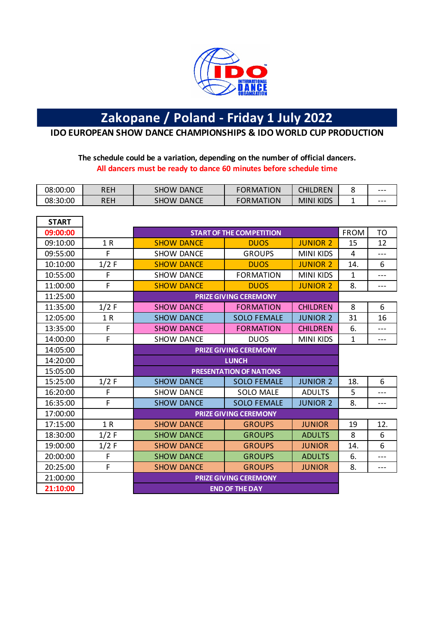

## **Zakopane / Poland - Friday 1 July 2022**

**IDO EUROPEAN SHOW DANCE CHAMPIONSHIPS & IDO WORLD CUP PRODUCTION**

### **The schedule could be a variation, depending on the number of official dancers. All dancers must be ready to dance 60 minutes before schedule time**

| 08:00:00 | REH | <b>DANCE</b><br>SHOW        | <b>TION</b><br>"ORMA <sub>1</sub> | CHILDREN            | u | ---     |
|----------|-----|-----------------------------|-----------------------------------|---------------------|---|---------|
| 08:30:00 | REH | <b>DANCE</b><br><b>SHOW</b> | <b>FORMATION</b>                  | <b>KIDS</b><br>MINI | - | $- - -$ |

| <b>START</b> |         |                              |                                 |                  |              |           |  |  |
|--------------|---------|------------------------------|---------------------------------|------------------|--------------|-----------|--|--|
| 09:00:00     |         |                              | <b>START OF THE COMPETITION</b> |                  | <b>FROM</b>  | <b>TO</b> |  |  |
| 09:10:00     | 1R      | <b>SHOW DANCE</b>            | <b>DUOS</b>                     | <b>JUNIOR 2</b>  | 15           | 12        |  |  |
| 09:55:00     | F.      | <b>SHOW DANCE</b>            | <b>GROUPS</b>                   | <b>MINI KIDS</b> | 4            | $---$     |  |  |
| 10:10:00     | $1/2$ F | <b>SHOW DANCE</b>            | <b>DUOS</b>                     | <b>JUNIOR 2</b>  | 14.          | 6         |  |  |
| 10:55:00     | F       | <b>SHOW DANCE</b>            | <b>FORMATION</b>                | <b>MINI KIDS</b> | 1            | $---$     |  |  |
| 11:00:00     | F       | <b>SHOW DANCE</b>            | <b>DUOS</b>                     | <b>JUNIOR 2</b>  | 8.           | $---$     |  |  |
| 11:25:00     |         |                              | <b>PRIZE GIVING CEREMONY</b>    |                  |              |           |  |  |
| 11:35:00     | $1/2$ F | <b>SHOW DANCE</b>            | <b>FORMATION</b>                | <b>CHILDREN</b>  | 8            | 6         |  |  |
| 12:05:00     | 1 R     | <b>SHOW DANCE</b>            | <b>SOLO FEMALE</b>              | <b>JUNIOR 2</b>  | 31           | 16        |  |  |
| 13:35:00     | F       | <b>SHOW DANCE</b>            | <b>FORMATION</b>                | <b>CHILDREN</b>  | 6.           | $---$     |  |  |
| 14:00:00     | F       | <b>SHOW DANCE</b>            | <b>DUOS</b>                     | <b>MINI KIDS</b> | $\mathbf{1}$ | ---       |  |  |
| 14:05:00     |         | <b>PRIZE GIVING CEREMONY</b> |                                 |                  |              |           |  |  |
| 14:20:00     |         | <b>LUNCH</b>                 |                                 |                  |              |           |  |  |
| 15:05:00     |         |                              | <b>PRESENTATION OF NATIONS</b>  |                  |              |           |  |  |
| 15:25:00     | $1/2$ F | <b>SHOW DANCE</b>            | <b>SOLO FEMALE</b>              | <b>JUNIOR 2</b>  | 18.          | 6         |  |  |
| 16:20:00     | F       | <b>SHOW DANCE</b>            | <b>SOLO MALE</b>                | <b>ADULTS</b>    | 5            | $---$     |  |  |
| 16:35:00     | F       | <b>SHOW DANCE</b>            | <b>SOLO FEMALE</b>              | <b>JUNIOR 2</b>  | 8.           | $---$     |  |  |
| 17:00:00     |         |                              | <b>PRIZE GIVING CEREMONY</b>    |                  |              |           |  |  |
| 17:15:00     | 1R      | <b>SHOW DANCE</b>            | <b>GROUPS</b>                   | <b>JUNIOR</b>    | 19           | 12.       |  |  |
| 18:30:00     | $1/2$ F | <b>SHOW DANCE</b>            | <b>GROUPS</b>                   | <b>ADULTS</b>    | 8            | 6         |  |  |
| 19:00:00     | $1/2$ F | <b>SHOW DANCE</b>            | <b>GROUPS</b>                   | <b>JUNIOR</b>    | 14.          | 6         |  |  |
| 20:00:00     | F       | <b>SHOW DANCE</b>            | <b>GROUPS</b>                   | <b>ADULTS</b>    | 6.           | $---$     |  |  |
| 20:25:00     | F       | <b>SHOW DANCE</b>            | <b>GROUPS</b>                   | <b>JUNIOR</b>    | 8.           | $---$     |  |  |
| 21:00:00     |         | <b>PRIZE GIVING CEREMONY</b> |                                 |                  |              |           |  |  |
| 21:10:00     |         | <b>END OF THE DAY</b>        |                                 |                  |              |           |  |  |